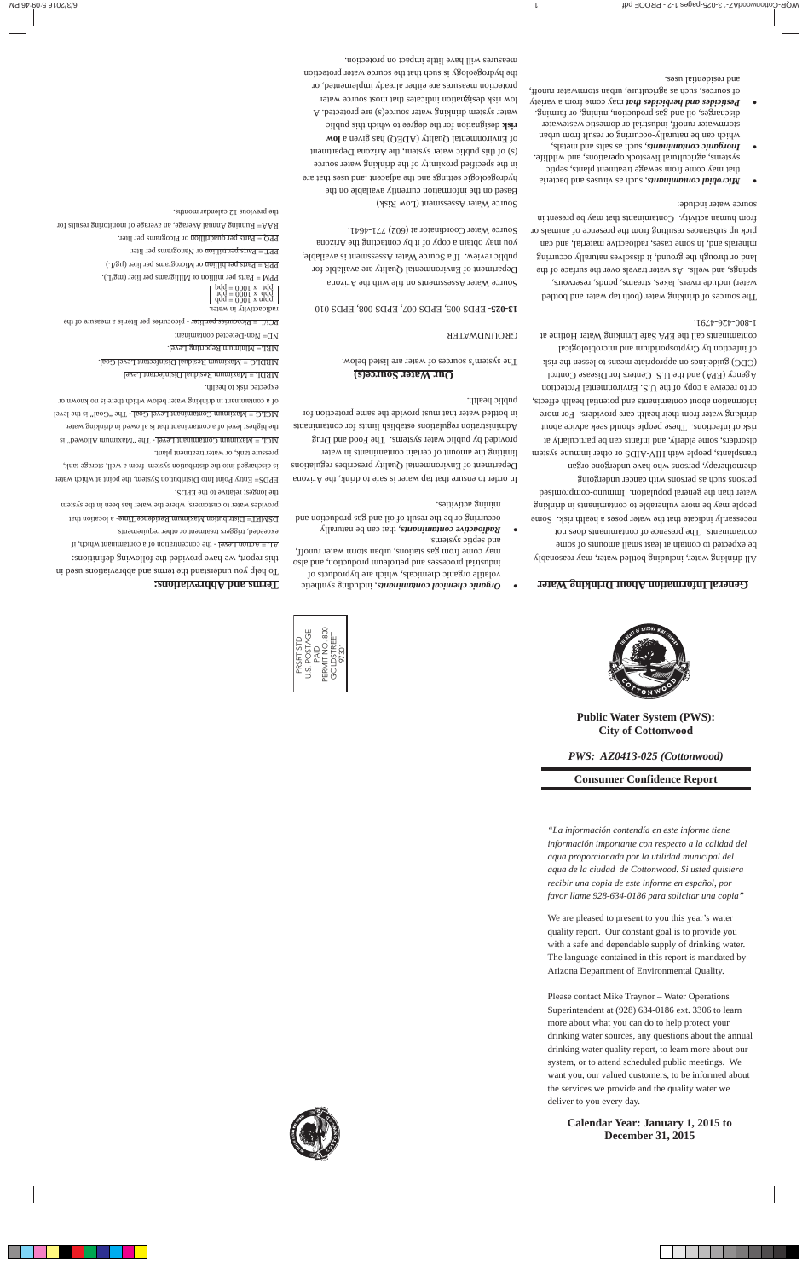

# **Public Water System (PWS): City of Cottonwood**

# *PWS: AZ0413-025 (Cottonwood)*

# **Consumer Confidence Report**

*"La información contendía en este informe tiene información importante con respecto a la calidad del aqua proporcionada por la utilidad municipal del aqua de la ciudad de Cottonwood. Si usted quisiera recibir una copia de este informe en español, por favor llame 928-634-0186 para solicitar una copia"*

We are pleased to present to you this year's water quality report. Our constant goal is to provide you with a safe and dependable supply of drinking water. The language contained in this report is mandated by Arizona Department of Environmental Quality.

Please contact Mike Traynor – Water Operations Superintendent at (928) 634-0186 ext. 3306 to learn more about what you can do to help protect your drinking water sources, any questions about the annual drinking water quality report, to learn more about our system, or to attend scheduled public meetings. We want you, our valued customers, to be informed about the services we provide and the quality water we deliver to you every day.

# **Calendar Year: January 1, 2015 to December 31, 2015**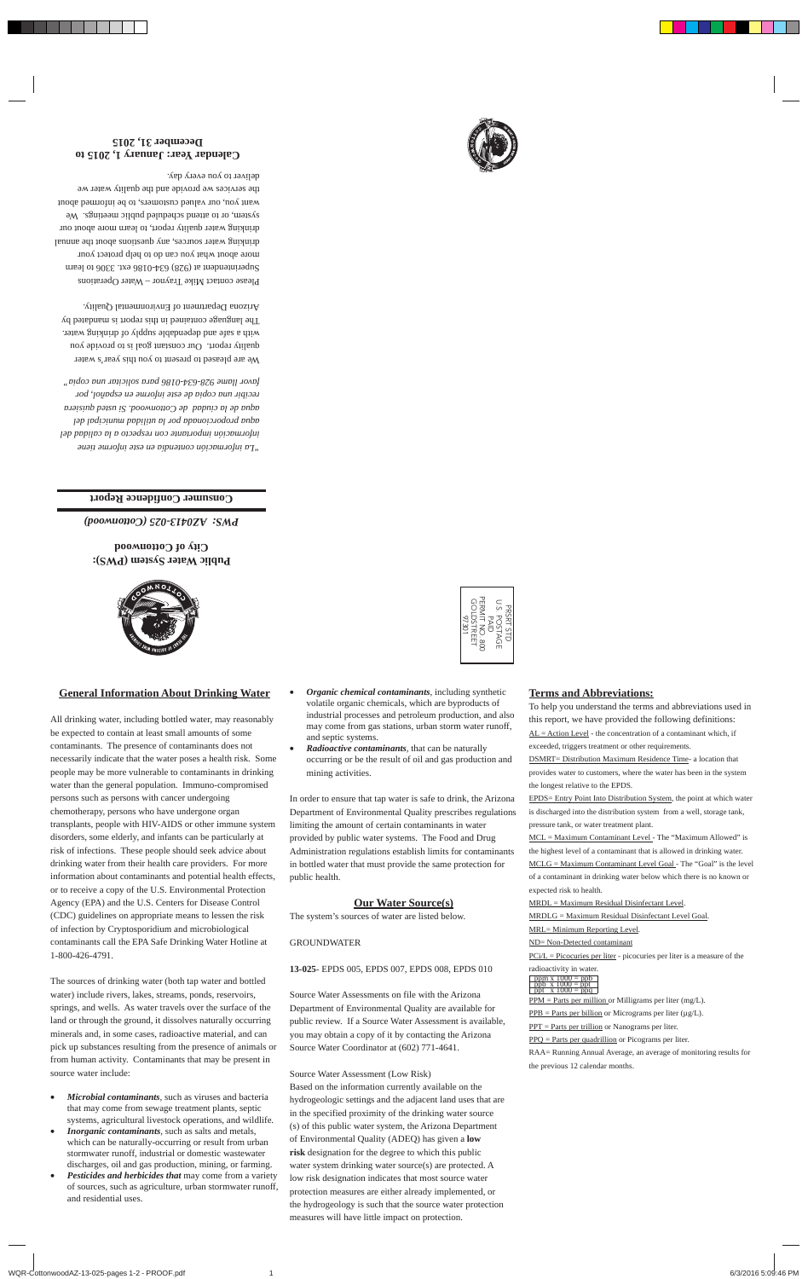### **General Information About Drinking Water**

All drinking water, including bottled water, may reasonably be expected to contain at least small amounts of some contaminants. The presence of contaminants does not necessarily indicate that the water poses a health risk. Some people may be more vulnerable to contaminants in drinking water than the general population. Immuno-compromised persons such as persons with cancer undergoing chemotherapy, persons who have undergone organ transplants, people with HIV-AIDS or other immune system disorders, some elderly, and infants can be particularly at risk of infections. These people should seek advice about drinking water from their health care providers. For more information about contaminants and potential health effects, or to receive a copy of the U.S. Environmental Protection Agency (EPA) and the U.S. Centers for Disease Control (CDC) guidelines on appropriate means to lessen the risk of infection by Cryptosporidium and microbiological contaminants call the EPA Safe Drinking Water Hotline at 1-800-426-4791.

The sources of drinking water (both tap water and bottled water) include rivers, lakes, streams, ponds, reservoirs, springs, and wells. As water travels over the surface of the land or through the ground, it dissolves naturally occurring minerals and, in some cases, radioactive material, and can pick up substances resulting from the presence of animals or from human activity. Contaminants that may be present in source water include:

- *Microbial contaminants,* such as viruses and bacteria that may come from sewage treatment plants, septic systems, agricultural livestock operations, and wildlife*.*
- *Inorganic contaminants*, such as salts and metals, which can be naturally-occurring or result from urban stormwater runoff, industrial or domestic wastewater discharges, oil and gas production, mining, or farming.
- *Pesticides and herbicides that* may come from a variety of sources, such as agriculture, urban stormwater runoff, and residential uses.
- *Organic chemical contaminants,* including synthetic volatile organic chemicals, which are byproducts of industrial processes and petroleum production, and also may come from gas stations, urban storm water runoff, and septic systems.
- *Radioactive contaminants,* that can be naturally occurring or be the result of oil and gas production and mining activities.

In order to ensure that tap water is safe to drink, the Arizona Department of Environmental Quality prescribes regulations limiting the amount of certain contaminants in water provided by public water systems. The Food and Drug Administration regulations establish limits for contaminants in bottled water that must provide the same protection for public health.

## **Our Water Source(s)**

The system's sources of water are listed below.

#### GROUNDWATER

### **13-025**- EPDS 005, EPDS 007, EPDS 008, EPDS 010

Source Water Assessments on file with the Arizona Department of Environmental Quality are available for public review. If a Source Water Assessment is available, you may obtain a copy of it by contacting the Arizona Source Water Coordinator at (602) 771-4641.

Source Water Assessment (Low Risk) Based on the information currently available on the hydrogeologic settings and the adjacent land uses that are in the specified proximity of the drinking water source (s) of this public water system, the Arizona Department of Environmental Quality (ADEQ) has given a **low risk** designation for the degree to which this public water system drinking water source(s) are protected. A low risk designation indicates that most source water protection measures are either already implemented, or the hydrogeology is such that the source water protection measures will have little impact on protection.

## **Terms and Abbreviations:**

To help you understand the terms and abbreviations used in this report, we have provided the following definitions:  $AL = Action Level - the concentration of a contaminant which, if$ exceeded, triggers treatment or other requirements. DSMRT= Distribution Maximum Residence Time- a location that provides water to customers, where the water has been in the system the longest relative to the EPDS. EPDS= Entry Point Into Distribution System, the point at which water

is discharged into the distribution system from a well, storage tank, pressure tank, or water treatment plant.

MCL = Maximum Contaminant Level - The "Maximum Allowed" is the highest level of a contaminant that is allowed in drinking water.  $MCLG = Maximum Contaminant Level Goal - The "Goal" is the level$ </u> of a contaminant in drinking water below which there is no known or expected risk to health.

MRDL = Maximum Residual Disinfectant Level.

MRDLG = Maximum Residual Disinfectant Level Goal.

MRL= Minimum Reporting Level.

#### ND= Non-Detected contaminant

 $PCi/L = Picocuries$  per liter - picocuries per liter is a measure of the

radioactivity in water. ppm x 1000 = ppb ppb x 1000 = ppt ppt x 1000 = ppq

 $PPM = Parts per million or Milligrams per liter (mg/L).$ 

 $PPB = Parts per billion$  or Micrograms per liter ( $\mu g/L$ ).

PPT = Parts per trillion or Nanograms per liter.

PPQ = Parts per quadrillion or Picograms per liter.

RAA= Running Annual Average, an average of monitoring results for the previous 12 calendar months.